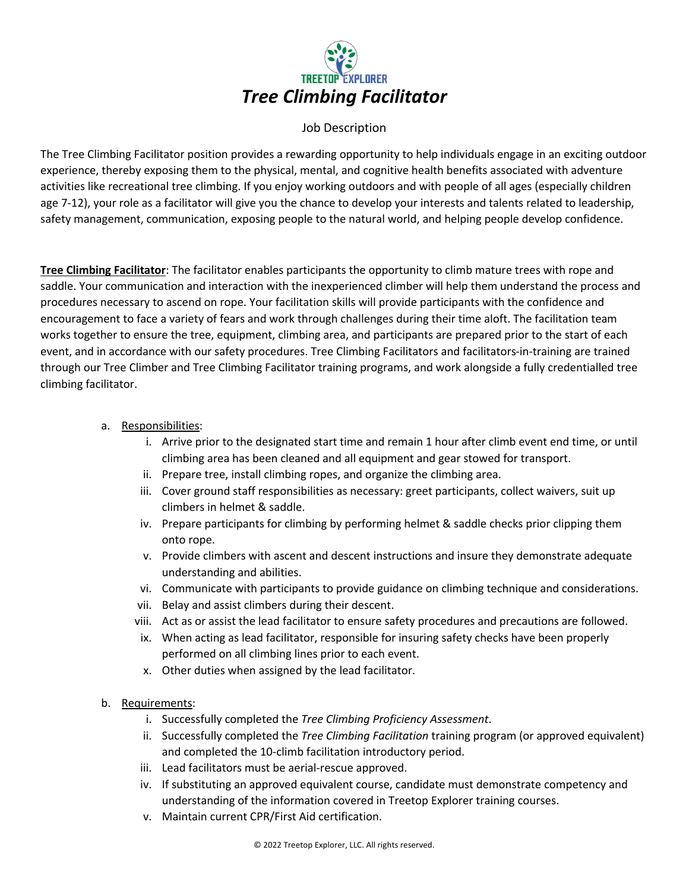

## Job Description

The Tree Climbing Facilitator position provides a rewarding opportunity to help individuals engage in an exciting outdoor experience, thereby exposing them to the physical, mental, and cognitive health benefits associated with adventure activities like recreational tree climbing. If you enjoy working outdoors and with people of all ages (especially children age 7-12), your role as a facilitator will give you the chance to develop your interests and talents related to leadership, safety management, communication, exposing people to the natural world, and helping people develop confidence.

**Tree Climbing Facilitator**: The facilitator enables participants the opportunity to climb mature trees with rope and saddle. Your communication and interaction with the inexperienced climber will help them understand the process and procedures necessary to ascend on rope. Your facilitation skills will provide participants with the confidence and encouragement to face a variety of fears and work through challenges during their time aloft. The facilitation team works together to ensure the tree, equipment, climbing area, and participants are prepared prior to the start of each event, and in accordance with our safety procedures. Tree Climbing Facilitators and facilitators-in-training are trained through our Tree Climber and Tree Climbing Facilitator training programs, and work alongside a fully credentialled tree climbing facilitator.

## a. Responsibilities:

- i. Arrive prior to the designated start time and remain 1 hour after climb event end time, or until climbing area has been cleaned and all equipment and gear stowed for transport.
- ii. Prepare tree, install climbing ropes, and organize the climbing area.
- iii. Cover ground staff responsibilities as necessary: greet participants, collect waivers, suit up climbers in helmet & saddle.
- iv. Prepare participants for climbing by performing helmet & saddle checks prior clipping them onto rope.
- v. Provide climbers with ascent and descent instructions and insure they demonstrate adequate understanding and abilities.
- vi. Communicate with participants to provide guidance on climbing technique and considerations.
- vii. Belay and assist climbers during their descent.
- viii. Act as or assist the lead facilitator to ensure safety procedures and precautions are followed.
- ix. When acting as lead facilitator, responsible for insuring safety checks have been properly performed on all climbing lines prior to each event.
- x. Other duties when assigned by the lead facilitator.
- b. Requirements:
	- i. Successfully completed the *Tree Climbing Proficiency Assessment*.
	- ii. Successfully completed the *Tree Climbing Facilitation* training program (or approved equivalent) and completed the 10-climb facilitation introductory period.
	- iii. Lead facilitators must be aerial-rescue approved.
	- iv. If substituting an approved equivalent course, candidate must demonstrate competency and understanding of the information covered in Treetop Explorer training courses.
	- v. Maintain current CPR/First Aid certification.